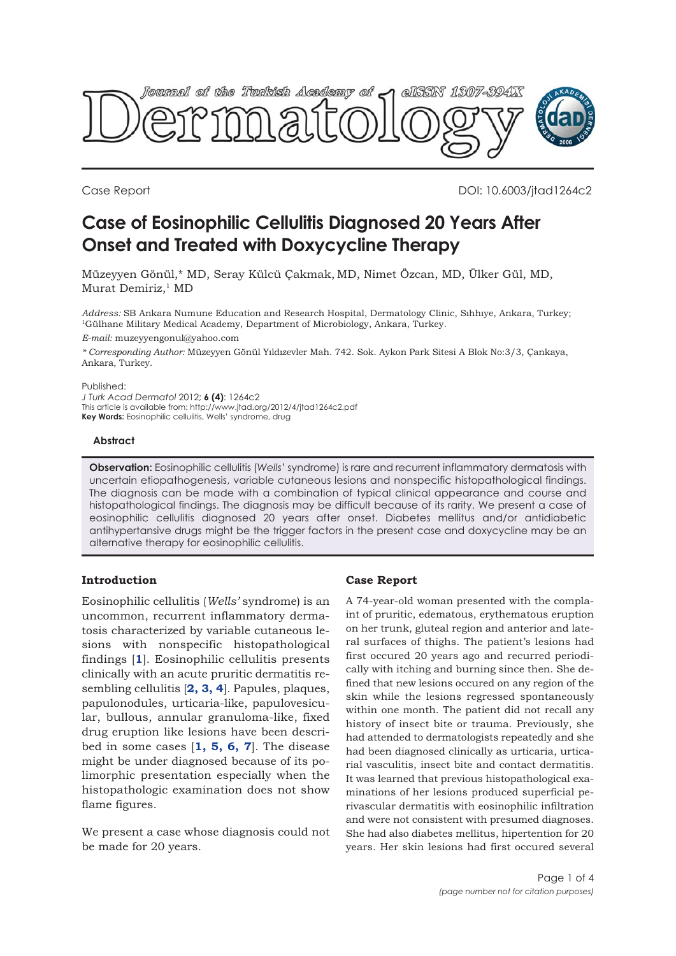

Case Report DOI: 10.6003/jtad1264c2

# **Case of Eosinophilic Cellulitis Diagnosed 20 Years After Onset and Treated with Doxycycline Therapy**

Müzeyyen Gönül,\* MD, Seray Külcü Çakmak, MD, Nimet Özcan, MD, Ülker Gül, MD, Murat Demiriz,<sup>1</sup> MD

*Address:* SB Ankara Numune Education and Research Hospital, Dermatology Clinic, Sıhhıye, Ankara, Turkey; 1Gülhane Military Medical Academy, Department of Microbiology, Ankara, Turkey.

*E-mail:* muzeyyengonul@yahoo.com

*\* Corresponding Author:* Müzeyyen Gönül Yıldızevler Mah. 742. Sok. Aykon Park Sitesi A Blok No:3/3, Çankaya, Ankara, Turkey.

#### Published:

*J Turk Acad Dermatol* 2012; **6 (4)**: 1264c2 This article is available from: http://www.jtad.org/2012/4/jtad1264c2.pdf **Key Words:** Eosinophilic cellulitis, Wells' syndrome, drug

# **Abstract**

**Observation:** Eosinophilic cellulitis (*Wells*' syndrome) is rare and recurrent inflammatory dermatosis with uncertain etiopathogenesis, variable cutaneous lesions and nonspecific histopathological findings. The diagnosis can be made with a combination of typical clinical appearance and course and histopathological findings. The diagnosis may be difficult because of its rarity. We present a case of eosinophilic cellulitis diagnosed 20 years after onset. Diabetes mellitus and/or antidiabetic antihypertansive drugs might be the trigger factors in the present case and doxycycline may be an alternative therapy for eosinophilic cellulitis.

# **Introduction**

Eosinophilic cellulitis (*Wells'* syndrome) is an uncommon, recurrent inflammatory dermatosis characterized by variable cutaneous lesions with nonspecific histopathological findings [**[1](#page-3-0)**]. Eosinophilic cellulitis presents clinically with an acute pruritic dermatitis resembling cellulitis [**[2, 3, 4](#page-3-0)**]. Papules, plaques, papulonodules, urticaria-like, papulovesicular, bullous, annular granuloma-like, fixed drug eruption like lesions have been described in some cases [**[1, 5, 6, 7](#page-3-0)**]. The disease might be under diagnosed because of its polimorphic presentation especially when the histopathologic examination does not show flame figures.

We present a case whose diagnosis could not be made for 20 years.

#### **Case Report**

A 74-year-old woman presented with the complaint of pruritic, edematous, erythematous eruption on her trunk, gluteal region and anterior and lateral surfaces of thighs. The patient's lesions had first occured 20 years ago and recurred periodically with itching and burning since then. She defined that new lesions occured on any region of the skin while the lesions regressed spontaneously within one month. The patient did not recall any history of insect bite or trauma. Previously, she had attended to dermatologists repeatedly and she had been diagnosed clinically as urticaria, urticarial vasculitis, insect bite and contact dermatitis. It was learned that previous histopathological examinations of her lesions produced superficial perivascular dermatitis with eosinophilic infiltration and were not consistent with presumed diagnoses. She had also diabetes mellitus, hipertention for 20 years. Her skin lesions had first occured several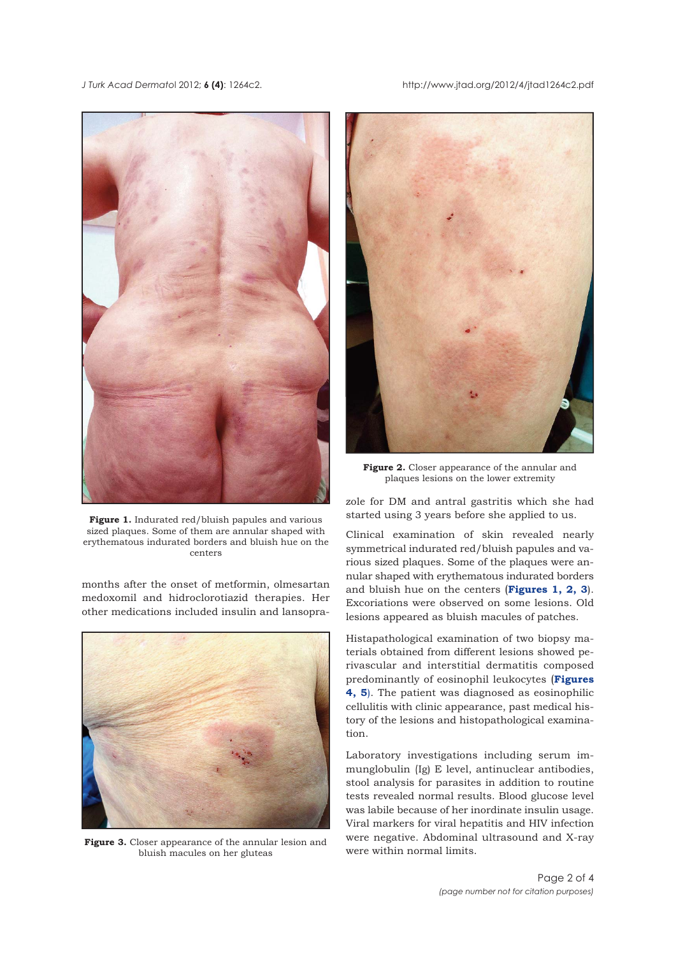*J Turk Acad Dermato*l 2012; **6 (4)**: 1264c2. http://www.jtad.org/2012/4/jtad1264c2.pdf



**Figure 1.** Indurated red/bluish papules and various sized plaques. Some of them are annular shaped with erythematous indurated borders and bluish hue on the centers

months after the onset of metformin, olmesartan medoxomil and hidroclorotiazid therapies. Her other medications included insulin and lansopra-



**Figure 3.** Closer appearance of the annular lesion and bluish macules on her gluteas



**Figure 2.** Closer appearance of the annular and plaques lesions on the lower extremity

zole for DM and antral gastritis which she had started using 3 years before she applied to us.

Clinical examination of skin revealed nearly symmetrical indurated red/bluish papules and various sized plaques. Some of the plaques were annular shaped with erythematous indurated borders and bluish hue on the centers (**Figures 1, 2, 3**). Excoriations were observed on some lesions. Old lesions appeared as bluish macules of patches.

Histapathological examination of two biopsy materials obtained from different lesions showed perivascular and interstitial dermatitis composed predominantly of eosinophil leukocytes (**Figures [4, 5](#page-2-0)**). The patient was diagnosed as eosinophilic cellulitis with clinic appearance, past medical history of the lesions and histopathological examination.

Laboratory investigations including serum immunglobulin (Ig) E level, antinuclear antibodies, stool analysis for parasites in addition to routine tests revealed normal results. Blood glucose level was labile because of her inordinate insulin usage. Viral markers for viral hepatitis and HIV infection were negative. Abdominal ultrasound and X-ray were within normal limits.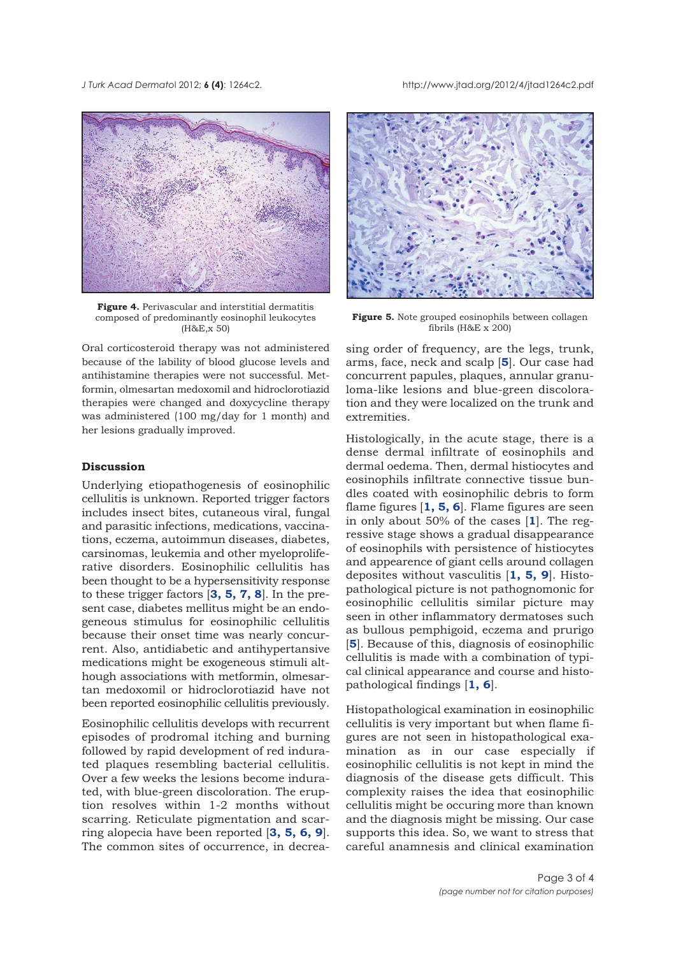<span id="page-2-0"></span>*J Turk Acad Dermato*l 2012; **6 (4)**: 1264c2. http://www.jtad.org/2012/4/jtad1264c2.pdf



**Figure 4.** Perivascular and interstitial dermatitis composed of predominantly eosinophil leukocytes (H&E,x 50)

Oral corticosteroid therapy was not administered because of the lability of blood glucose levels and antihistamine therapies were not successful. Metformin, olmesartan medoxomil and hidroclorotiazid therapies were changed and doxycycline therapy was administered (100 mg/day for 1 month) and her lesions gradually improved.

#### **Discussion**

Underlying etiopathogenesis of eosinophilic cellulitis is unknown. Reported trigger factors includes insect bites, cutaneous viral, fungal and parasitic infections, medications, vaccinations, eczema, autoimmun diseases, diabetes, carsinomas, leukemia and other myeloproliferative disorders. Eosinophilic cellulitis has been thought to be a hypersensitivity response to these trigger factors [**[3, 5, 7, 8](#page-3-0)**]. In the present case, diabetes mellitus might be an endogeneous stimulus for eosinophilic cellulitis because their onset time was nearly concurrent. Also, antidiabetic and antihypertansive medications might be exogeneous stimuli although associations with metformin, olmesartan medoxomil or hidroclorotiazid have not been reported eosinophilic cellulitis previously.

Eosinophilic cellulitis develops with recurrent episodes of prodromal itching and burning followed by rapid development of red indurated plaques resembling bacterial cellulitis. Over a few weeks the lesions become indurated, with blue-green discoloration. The eruption resolves within 1-2 months without scarring. Reticulate pigmentation and scarring alopecia have been reported [**[3,](#page-3-0) [5](#page-3-0), [6,](#page-3-0) [9](#page-3-0)**]. The common sites of occurrence, in decrea-



**Figure 5.** Note grouped eosinophils between collagen fibrils ( $H$ &E  $\overline{x}$  200)

sing order of frequency, are the legs, trunk, arms, face, neck and scalp [**[5](#page-3-0)**]. Our case had concurrent papules, plaques, annular granuloma-like lesions and blue-green discoloration and they were localized on the trunk and extremities.

Histologically, in the acute stage, there is a dense dermal infiltrate of eosinophils and dermal oedema. Then, dermal histiocytes and eosinophils infiltrate connective tissue bundles coated with eosinophilic debris to form flame figures [**[1, 5, 6](#page-3-0)**]. Flame figures are seen in only about 50% of the cases [**[1](#page-3-0)**]. The regressive stage shows a gradual disappearance of eosinophils with persistence of histiocytes and appearence of giant cells around collagen deposites without vasculitis [**[1](#page-3-0), [5](#page-3-0), [9](#page-3-0)**]. Histopathological picture is not pathognomonic for eosinophilic cellulitis similar picture may seen in other inflammatory dermatoses such as bullous pemphigoid, eczema and prurigo [[5](#page-3-0)]. Because of this, diagnosis of eosinophilic cellulitis is made with a combination of typical clinical appearance and course and histopathological findings [**[1,](#page-3-0) [6](#page-3-0)**].

Histopathological examination in eosinophilic cellulitis is very important but when flame figures are not seen in histopathological examination as in our case especially if eosinophilic cellulitis is not kept in mind the diagnosis of the disease gets difficult. This complexity raises the idea that eosinophilic cellulitis might be occuring more than known and the diagnosis might be missing. Our case supports this idea. So, we want to stress that careful anamnesis and clinical examination